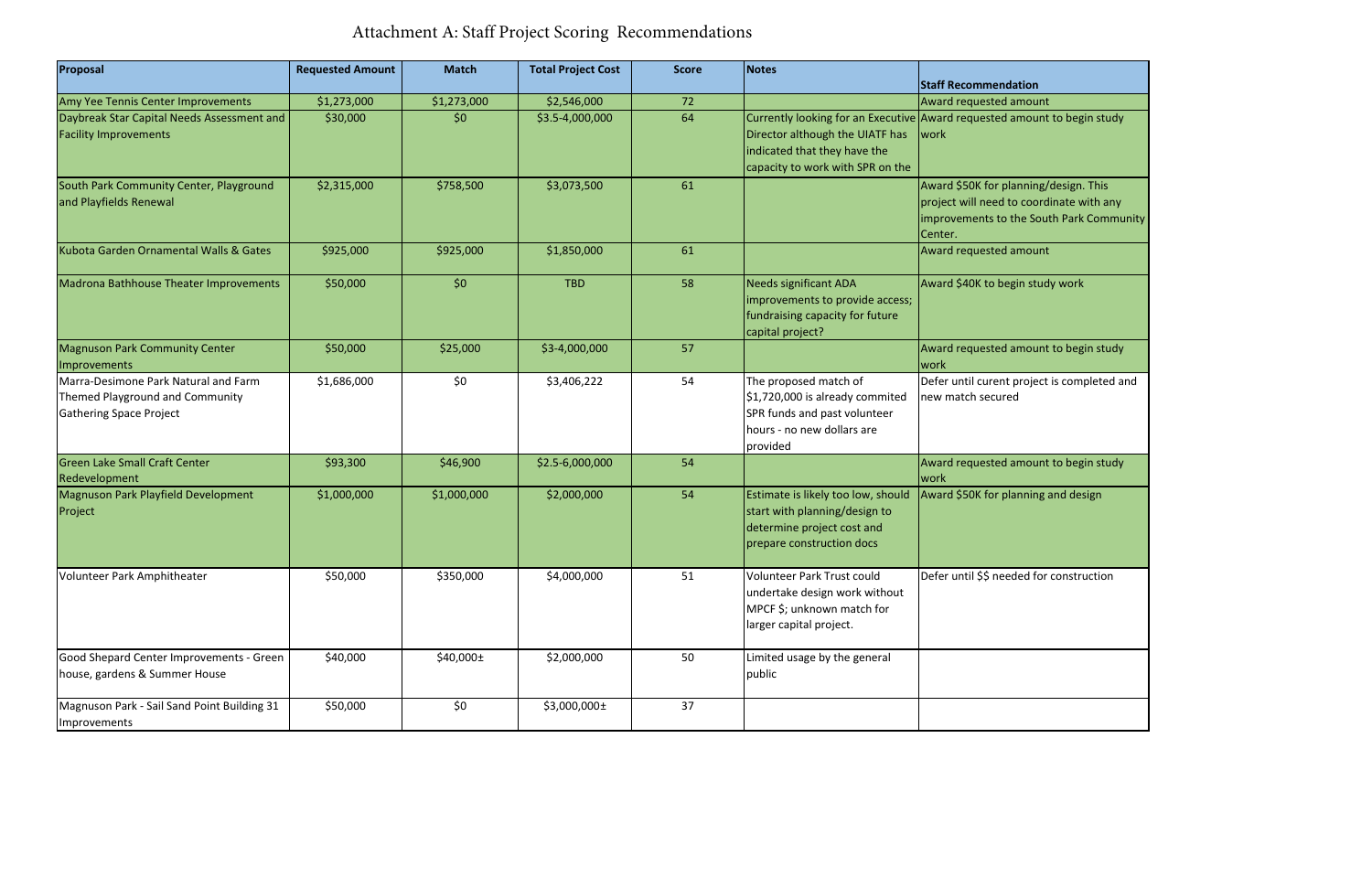| Proposal                                                                                           | <b>Requested Amount</b> | <b>Match</b>  | <b>Total Project Cost</b> | <b>Score</b> | Notes                                                                                                                              | <b>Staff Recommendation</b>                                                                                                              |
|----------------------------------------------------------------------------------------------------|-------------------------|---------------|---------------------------|--------------|------------------------------------------------------------------------------------------------------------------------------------|------------------------------------------------------------------------------------------------------------------------------------------|
| Amy Yee Tennis Center Improvements                                                                 | \$1,273,000             | \$1,273,000   | \$2,546,000               | 72           |                                                                                                                                    | Award requested amount                                                                                                                   |
| Daybreak Star Capital Needs Assessment and<br><b>Facility Improvements</b>                         | \$30,000                | \$0           | \$3.5-4,000,000           | 64           | Director although the UIATF has<br>indicated that they have the<br>capacity to work with SPR on the                                | Currently looking for an Executive Award requested amount to begin study<br>work                                                         |
| South Park Community Center, Playground<br>and Playfields Renewal                                  | \$2,315,000             | \$758,500     | \$3,073,500               | 61           |                                                                                                                                    | Award \$50K for planning/design. This<br>project will need to coordinate with any<br>Improvements to the South Park Community<br>Center. |
| Kubota Garden Ornamental Walls & Gates                                                             | \$925,000               | \$925,000     | \$1,850,000               | 61           |                                                                                                                                    | Award requested amount                                                                                                                   |
| Madrona Bathhouse Theater Improvements                                                             | \$50,000                | \$0           | <b>TBD</b>                | 58           | Needs significant ADA<br>improvements to provide access;<br>fundraising capacity for future<br>capital project?                    | Award \$40K to begin study work                                                                                                          |
| <b>Magnuson Park Community Center</b><br>Improvements                                              | \$50,000                | \$25,000      | \$3-4,000,000             | 57           |                                                                                                                                    | Award requested amount to begin study<br>work                                                                                            |
| Marra-Desimone Park Natural and Farm<br>Themed Playground and Community<br>Gathering Space Project | \$1,686,000             | \$0           | \$3,406,222               | 54           | The proposed match of<br>\$1,720,000 is already commited<br>SPR funds and past volunteer<br>hours - no new dollars are<br>provided | Defer until curent project is completed and<br>new match secured                                                                         |
| <b>Green Lake Small Craft Center</b><br>Redevelopment                                              | \$93,300                | \$46,900      | \$2.5-6,000,000           | 54           |                                                                                                                                    | Award requested amount to begin study<br><b>work</b>                                                                                     |
| Magnuson Park Playfield Development<br>Project                                                     | \$1,000,000             | \$1,000,000   | \$2,000,000               | 54           | Estimate is likely too low, should<br>start with planning/design to<br>determine project cost and<br>prepare construction docs     | Award \$50K for planning and design                                                                                                      |
| Volunteer Park Amphitheater                                                                        | \$50,000                | \$350,000     | \$4,000,000               | 51           | Volunteer Park Trust could<br>undertake design work without<br>MPCF \$; unknown match for<br>larger capital project.               | Defer until \$\$ needed for construction                                                                                                 |
| Good Shepard Center Improvements - Green<br>house, gardens & Summer House                          | \$40,000                | $$40,000 \pm$ | \$2,000,000               | 50           | Limited usage by the general<br>public                                                                                             |                                                                                                                                          |
| Magnuson Park - Sail Sand Point Building 31<br>Improvements                                        | \$50,000                | \$0           | \$3,000,000±              | 37           |                                                                                                                                    |                                                                                                                                          |

## Attachment A: Staff Project Scoring Recommendations